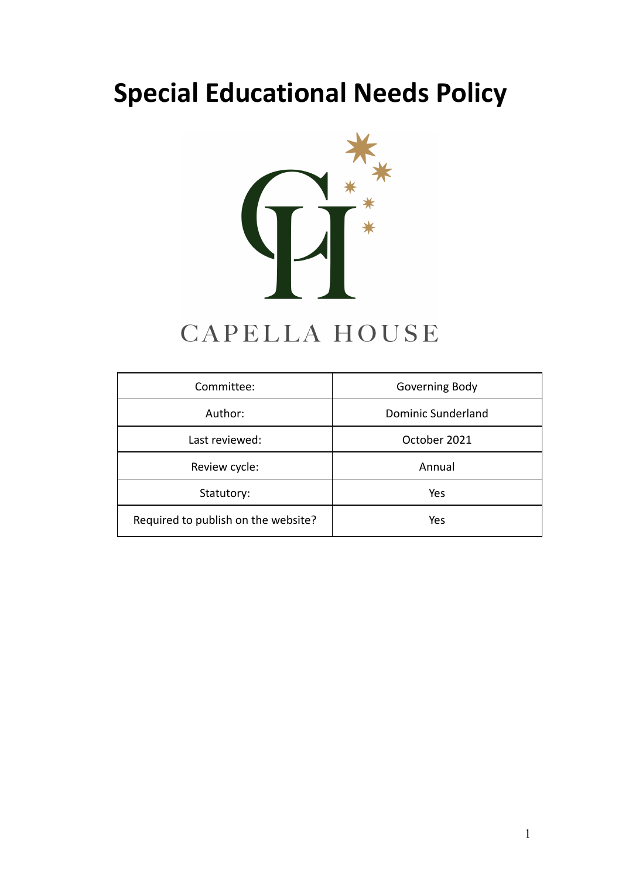# **Special Educational Needs Policy**



# CAPELLA HOUSE

| Committee:                          | Governing Body     |
|-------------------------------------|--------------------|
| Author:                             | Dominic Sunderland |
| Last reviewed:                      | October 2021       |
| Review cycle:                       | Annual             |
| Statutory:                          | Yes                |
| Required to publish on the website? | Yes                |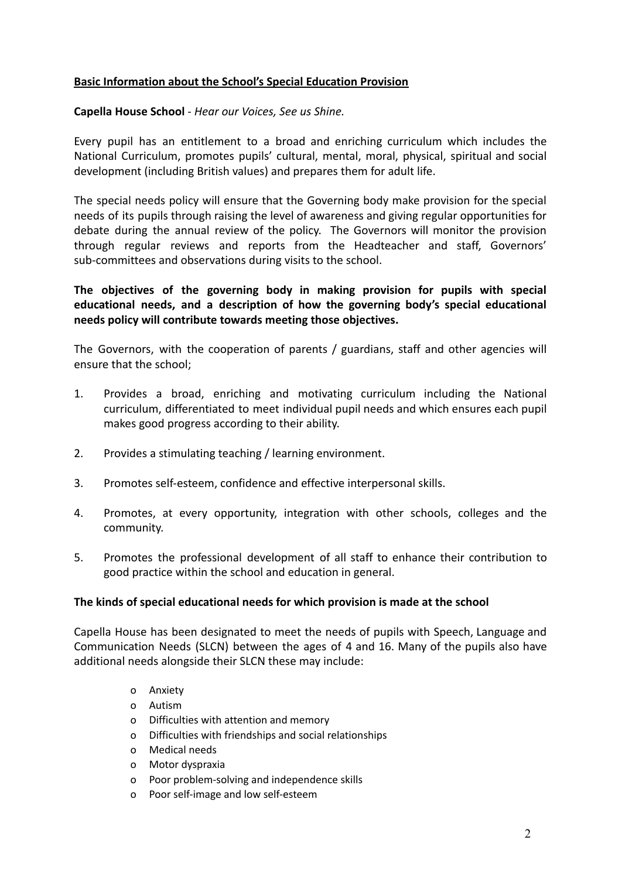## **Basic Information about the School's Special Education Provision**

### **Capella House School** - *Hear our Voices, See us Shine.*

Every pupil has an entitlement to a broad and enriching curriculum which includes the National Curriculum, promotes pupils' cultural, mental, moral, physical, spiritual and social development (including British values) and prepares them for adult life.

The special needs policy will ensure that the Governing body make provision for the special needs of its pupils through raising the level of awareness and giving regular opportunities for debate during the annual review of the policy. The Governors will monitor the provision through regular reviews and reports from the Headteacher and staff, Governors' sub-committees and observations during visits to the school.

**The objectives of the governing body in making provision for pupils with special educational needs, and a description of how the governing body's special educational needs policy will contribute towards meeting those objectives.**

The Governors, with the cooperation of parents / guardians, staff and other agencies will ensure that the school;

- 1. Provides a broad, enriching and motivating curriculum including the National curriculum, differentiated to meet individual pupil needs and which ensures each pupil makes good progress according to their ability.
- 2. Provides a stimulating teaching / learning environment.
- 3. Promotes self-esteem, confidence and effective interpersonal skills.
- 4. Promotes, at every opportunity, integration with other schools, colleges and the community.
- 5. Promotes the professional development of all staff to enhance their contribution to good practice within the school and education in general.

#### **The kinds of special educational needs for which provision is made at the school**

Capella House has been designated to meet the needs of pupils with Speech, Language and Communication Needs (SLCN) between the ages of 4 and 16. Many of the pupils also have additional needs alongside their SLCN these may include:

- o Anxiety
- o Autism
- o Difficulties with attention and memory
- o Difficulties with friendships and social relationships
- o Medical needs
- o Motor dyspraxia
- o Poor problem-solving and independence skills
- o Poor self-image and low self-esteem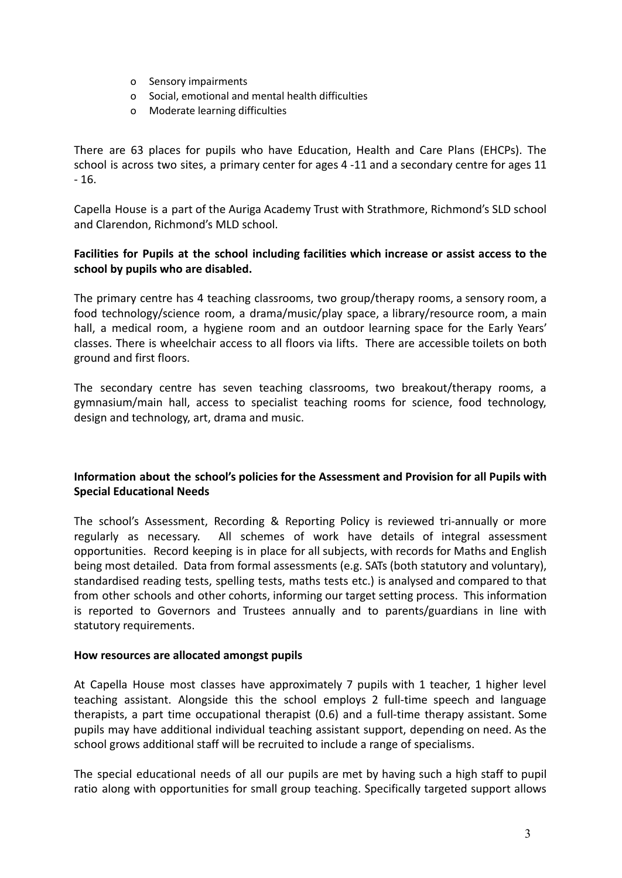- o Sensory impairments
- o Social, emotional and mental health difficulties
- o Moderate learning difficulties

There are 63 places for pupils who have Education, Health and Care Plans (EHCPs). The school is across two sites, a primary center for ages 4 -11 and a secondary centre for ages 11 - 16.

Capella House is a part of the Auriga Academy Trust with Strathmore, Richmond's SLD school and Clarendon, Richmond's MLD school.

# **Facilities for Pupils at the school including facilities which increase or assist access to the school by pupils who are disabled.**

The primary centre has 4 teaching classrooms, two group/therapy rooms, a sensory room, a food technology/science room, a drama/music/play space, a library/resource room, a main hall, a medical room, a hygiene room and an outdoor learning space for the Early Years' classes. There is wheelchair access to all floors via lifts. There are accessible toilets on both ground and first floors.

The secondary centre has seven teaching classrooms, two breakout/therapy rooms, a gymnasium/main hall, access to specialist teaching rooms for science, food technology, design and technology, art, drama and music.

# **Information about the school's policies for the Assessment and Provision for all Pupils with Special Educational Needs**

The school's Assessment, Recording & Reporting Policy is reviewed tri-annually or more regularly as necessary. All schemes of work have details of integral assessment opportunities. Record keeping is in place for all subjects, with records for Maths and English being most detailed. Data from formal assessments (e.g. SATs (both statutory and voluntary), standardised reading tests, spelling tests, maths tests etc.) is analysed and compared to that from other schools and other cohorts, informing our target setting process. This information is reported to Governors and Trustees annually and to parents/guardians in line with statutory requirements.

#### **How resources are allocated amongst pupils**

At Capella House most classes have approximately 7 pupils with 1 teacher, 1 higher level teaching assistant. Alongside this the school employs 2 full-time speech and language therapists, a part time occupational therapist (0.6) and a full-time therapy assistant. Some pupils may have additional individual teaching assistant support, depending on need. As the school grows additional staff will be recruited to include a range of specialisms.

The special educational needs of all our pupils are met by having such a high staff to pupil ratio along with opportunities for small group teaching. Specifically targeted support allows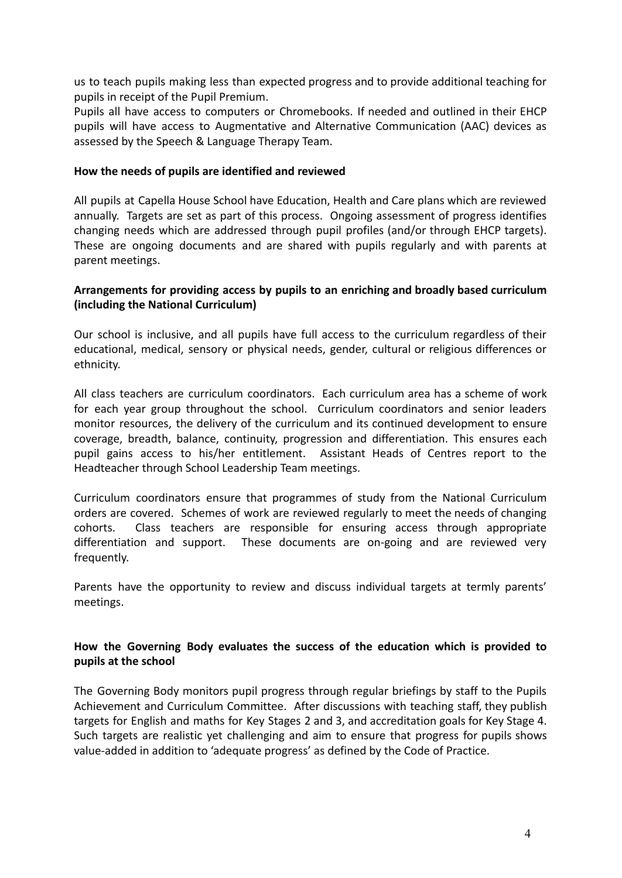us to teach pupils making less than expected progress and to provide additional teaching for pupils in receipt of the Pupil Premium.

Pupils all have access to computers or Chromebooks. If needed and outlined in their EHCP pupils will have access to Augmentative and Alternative Communication (AAC) devices as assessed by the Speech & Language Therapy Team.

### **How the needs of pupils are identified and reviewed**

All pupils at Capella House School have Education, Health and Care plans which are reviewed annually. Targets are set as part of this process. Ongoing assessment of progress identifies changing needs which are addressed through pupil profiles (and/or through EHCP targets). These are ongoing documents and are shared with pupils regularly and with parents at parent meetings.

# **Arrangements for providing access by pupils to an enriching and broadly based curriculum (including the National Curriculum)**

Our school is inclusive, and all pupils have full access to the curriculum regardless of their educational, medical, sensory or physical needs, gender, cultural or religious differences or ethnicity.

All class teachers are curriculum coordinators. Each curriculum area has a scheme of work for each year group throughout the school. Curriculum coordinators and senior leaders monitor resources, the delivery of the curriculum and its continued development to ensure coverage, breadth, balance, continuity, progression and differentiation. This ensures each pupil gains access to his/her entitlement. Assistant Heads of Centres report to the Headteacher through School Leadership Team meetings.

Curriculum coordinators ensure that programmes of study from the National Curriculum orders are covered. Schemes of work are reviewed regularly to meet the needs of changing cohorts. Class teachers are responsible for ensuring access through appropriate differentiation and support. These documents are on-going and are reviewed very frequently.

Parents have the opportunity to review and discuss individual targets at termly parents' meetings.

# **How the Governing Body evaluates the success of the education which is provided to pupils at the school**

The Governing Body monitors pupil progress through regular briefings by staff to the Pupils Achievement and Curriculum Committee. After discussions with teaching staff, they publish targets for English and maths for Key Stages 2 and 3, and accreditation goals for Key Stage 4. Such targets are realistic yet challenging and aim to ensure that progress for pupils shows value-added in addition to 'adequate progress' as defined by the Code of Practice.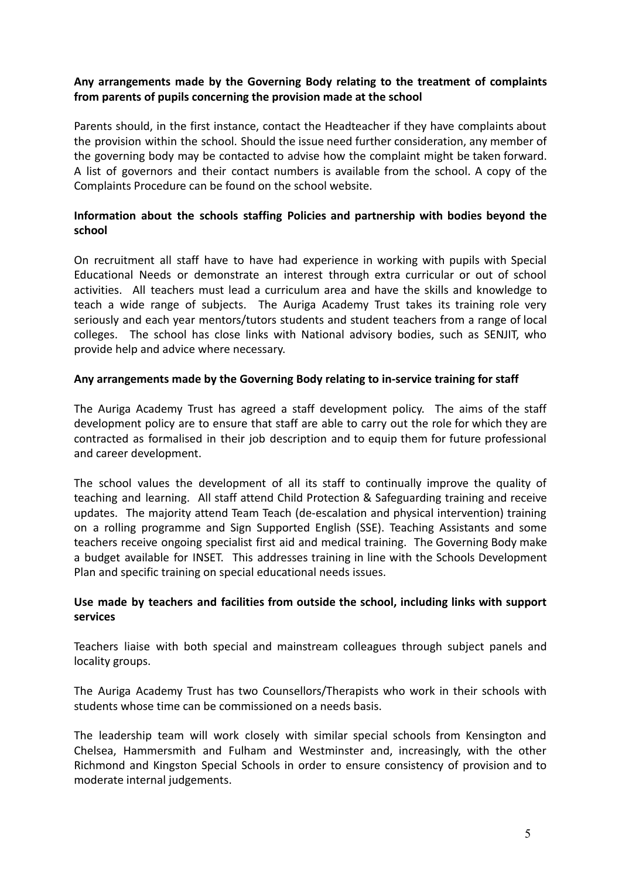# **Any arrangements made by the Governing Body relating to the treatment of complaints from parents of pupils concerning the provision made at the school**

Parents should, in the first instance, contact the Headteacher if they have complaints about the provision within the school. Should the issue need further consideration, any member of the governing body may be contacted to advise how the complaint might be taken forward. A list of governors and their contact numbers is available from the school. A copy of the Complaints Procedure can be found on the school website.

# **Information about the schools staffing Policies and partnership with bodies beyond the school**

On recruitment all staff have to have had experience in working with pupils with Special Educational Needs or demonstrate an interest through extra curricular or out of school activities. All teachers must lead a curriculum area and have the skills and knowledge to teach a wide range of subjects. The Auriga Academy Trust takes its training role very seriously and each year mentors/tutors students and student teachers from a range of local colleges. The school has close links with National advisory bodies, such as SENJIT, who provide help and advice where necessary.

#### **Any arrangements made by the Governing Body relating to in-service training for staff**

The Auriga Academy Trust has agreed a staff development policy. The aims of the staff development policy are to ensure that staff are able to carry out the role for which they are contracted as formalised in their job description and to equip them for future professional and career development.

The school values the development of all its staff to continually improve the quality of teaching and learning. All staff attend Child Protection & Safeguarding training and receive updates. The majority attend Team Teach (de-escalation and physical intervention) training on a rolling programme and Sign Supported English (SSE). Teaching Assistants and some teachers receive ongoing specialist first aid and medical training. The Governing Body make a budget available for INSET. This addresses training in line with the Schools Development Plan and specific training on special educational needs issues.

## **Use made by teachers and facilities from outside the school, including links with support services**

Teachers liaise with both special and mainstream colleagues through subject panels and locality groups.

The Auriga Academy Trust has two Counsellors/Therapists who work in their schools with students whose time can be commissioned on a needs basis.

The leadership team will work closely with similar special schools from Kensington and Chelsea, Hammersmith and Fulham and Westminster and, increasingly, with the other Richmond and Kingston Special Schools in order to ensure consistency of provision and to moderate internal judgements.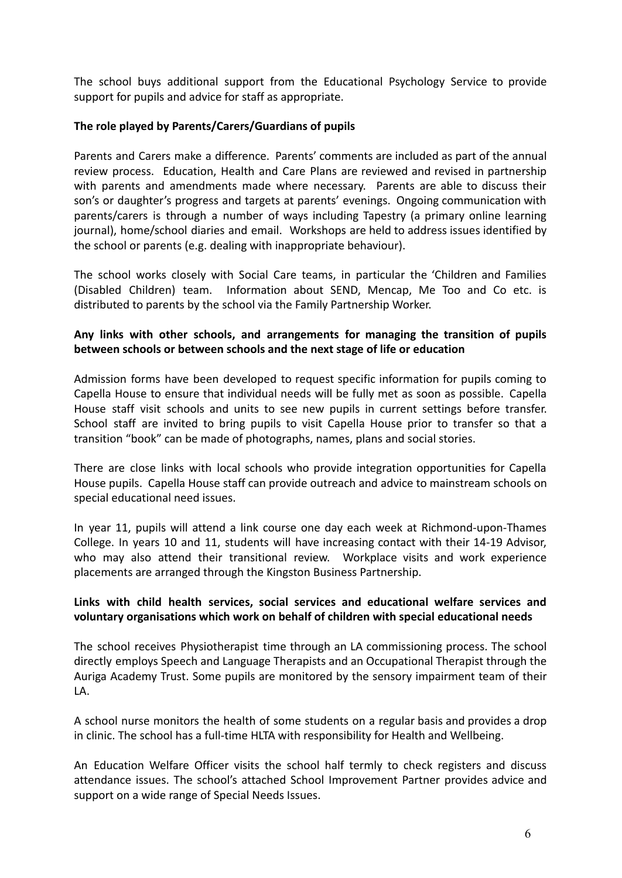The school buys additional support from the Educational Psychology Service to provide support for pupils and advice for staff as appropriate.

# **The role played by Parents/Carers/Guardians of pupils**

Parents and Carers make a difference. Parents' comments are included as part of the annual review process. Education, Health and Care Plans are reviewed and revised in partnership with parents and amendments made where necessary. Parents are able to discuss their son's or daughter's progress and targets at parents' evenings. Ongoing communication with parents/carers is through a number of ways including Tapestry (a primary online learning journal), home/school diaries and email. Workshops are held to address issues identified by the school or parents (e.g. dealing with inappropriate behaviour).

The school works closely with Social Care teams, in particular the 'Children and Families (Disabled Children) team. Information about SEND, Mencap, Me Too and Co etc. is distributed to parents by the school via the Family Partnership Worker.

# **Any links with other schools, and arrangements for managing the transition of pupils between schools or between schools and the next stage of life or education**

Admission forms have been developed to request specific information for pupils coming to Capella House to ensure that individual needs will be fully met as soon as possible. Capella House staff visit schools and units to see new pupils in current settings before transfer. School staff are invited to bring pupils to visit Capella House prior to transfer so that a transition "book" can be made of photographs, names, plans and social stories.

There are close links with local schools who provide integration opportunities for Capella House pupils. Capella House staff can provide outreach and advice to mainstream schools on special educational need issues.

In year 11, pupils will attend a link course one day each week at Richmond-upon-Thames College. In years 10 and 11, students will have increasing contact with their 14-19 Advisor, who may also attend their transitional review. Workplace visits and work experience placements are arranged through the Kingston Business Partnership.

## **Links with child health services, social services and educational welfare services and voluntary organisations which work on behalf of children with special educational needs**

The school receives Physiotherapist time through an LA commissioning process. The school directly employs Speech and Language Therapists and an Occupational Therapist through the Auriga Academy Trust. Some pupils are monitored by the sensory impairment team of their LA.

A school nurse monitors the health of some students on a regular basis and provides a drop in clinic. The school has a full-time HLTA with responsibility for Health and Wellbeing.

An Education Welfare Officer visits the school half termly to check registers and discuss attendance issues. The school's attached School Improvement Partner provides advice and support on a wide range of Special Needs Issues.